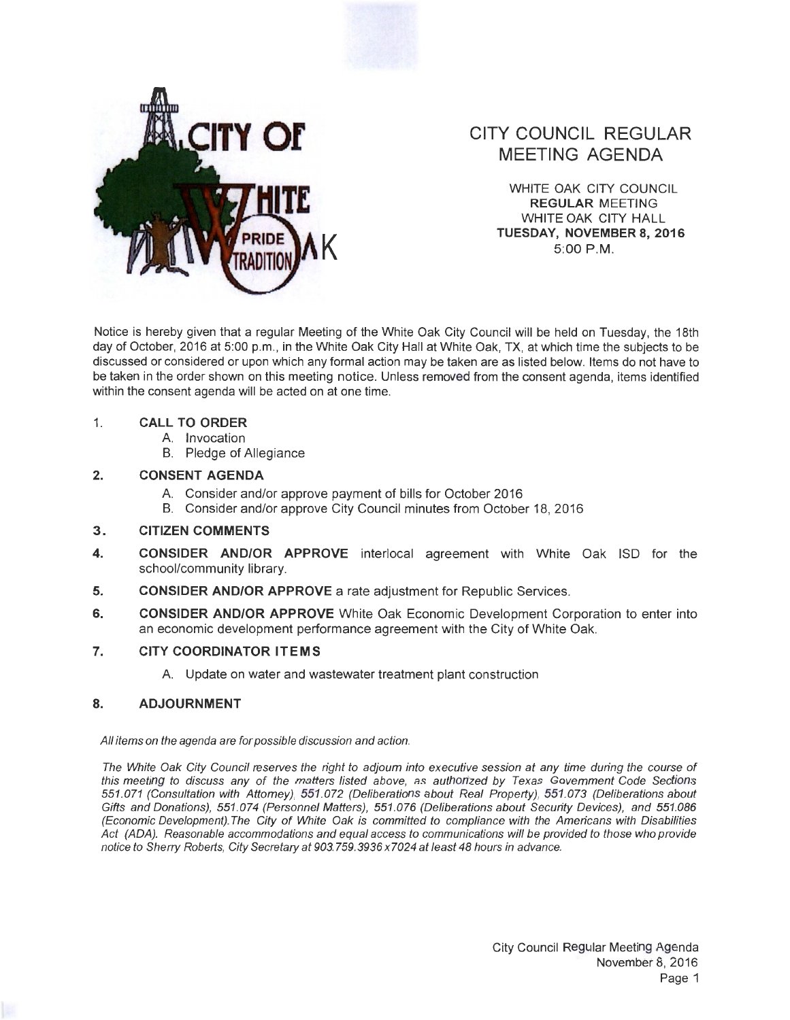

# **CITY COUNCIL REGULAR MEETING AGENDA**

WHITE OAK CITY COUNCIL **REGULAR** MEETING WHITE OAK CITY HALL **K TUESDAY, NOVEMBER8,2016**  5:00 P.M.

Notice is hereby given that a regular Meeting of the White Oak City Council will be held on Tuesday, the 18th day of October, 2016 at 5:00 p.m., in the White Oak City Hall at White Oak, TX, at which time the subjects to be discussed or considered or upon which any formal action may be taken are as listed below. Items do not have to be taken in the order shown on this meeting notice. Unless removed from the consent agenda, items identified within the consent agenda will be acted on at one time.

#### 1. **CALL TO ORDER**

- A. Invocation
- B. Pledge of Allegiance

## **2. CONSENT AGENDA**

- A. Consider and/or approve payment of bills for October 2016
- B. Consider and/or approve City Council minutes from October 18, 2016

### **3. CITIZEN COMMENTS**

- **4. CONSIDER AND/OR APPROVE** interlocal agreement with White Oak lSD for the school/community library.
- **5.** CONSIDER AND/OR APPROVE a rate adjustment for Republic Services.
- **6. CONSIDER AND/OR APPROVE** White Oak Economic Development Corporation to enter into an economic development performance agreement with the City of White Oak.

### **7. CITY COORDINATOR ITEMS**

A. Update on water and wastewater treatment plant construction

### **8. ADJOURNMENT**

All items on the agenda are for possible discussion and action.

The White Oak City Council reserves the right to adjourn into executive session at any time during the course of this meeting to discuss any of the matters listed above, as authorized by Texas Government Code Sections 551 .071 (Consultation with Attorney), 551.072 (Deliberations about Real Property), 551 .073 (Deliberations about Gifts and Donations), 551.074 (Personnel Matters), 551.076 (Deliberations about Security Devices), and 551.086 (Economic Development). The City of White Oak is committed to compliance with the Americans with Disabilities Act (ADA). Reasonable accommodations and equal access to communications will be provided to those who provide notice to Sherry Roberts, City Secretary at 903. 759.3936 x7024 at least 48 hours in advance.